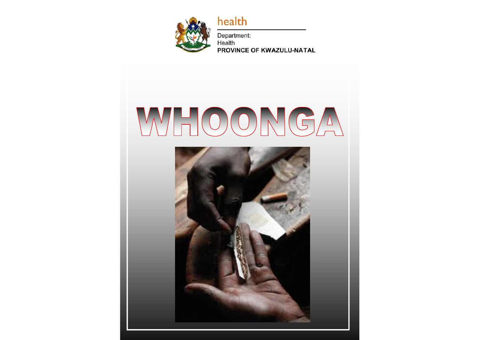

health

Department: Health PROVINCE OF KWAZULU-NATAL

# WHOONGA

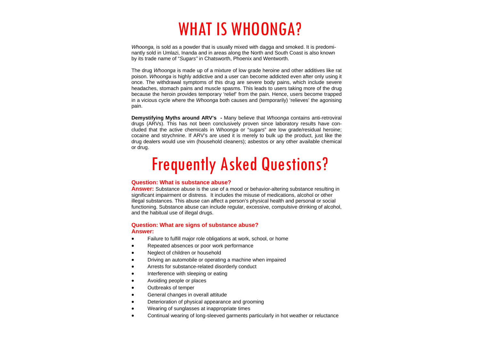# WHAT IS WHOONGA?

*Whoonga.* is sold as a powder that is usually mixed with dagga and smoked. It is predominantly sold in Umlazi, Inanda and in areas along the North and South Coast is also known by its trade name of "*Sugars"* in Chatsworth, Phoenix and Wentworth.

The drug *Whoonga* is made up of a mixture of low grade heroine and other additives like rat poison. *Whoonga* is highly addictive and a user can become addicted even after only using it once. The withdrawal symptoms of this drug are severe body pains, which include severe headaches, stomach pains and muscle spasms. This leads to users taking more of the drug because the heroin provides temporary 'relief' from the pain. Hence, users become trapped in a vicious cycle where the *Whoonga* both causes and (temporarily) 'relieves' the agonising pain.

**Demystifying Myths around ARV's -** Many believe that *Whoonga* contains anti-retroviral drugs (ARVs). This has not been conclusively proven since laboratory results have concluded that the active chemicals in W*hoonga* or "*sugars*" are low grade/residual heroine; cocaine and strychnine. If ARV's are used it is merely to bulk up the product, just like the drug dealers would use vim (household cleaners); asbestos or any other available chemical or drug.

# Frequently Asked Questions?

# **Question: What is substance abuse?**

**Answer:** Substance abuse is the use of a mood or behavior-altering substance resulting in significant impairment or distress. It includes the misuse of medications, alcohol or other illegal substances. This abuse can affect a person's physical health and personal or social functioning. Substance abuse can include regular, excessive, compulsive drinking of alcohol, and the habitual use of illegal drugs.

#### **Question: What are signs of substance abuse? Answer:**

- $\bullet$ Failure to fulfill major role obligations at work, school, or home
- $\bullet$ Repeated absences or poor work performance
- $\bullet$ Neglect of children or household
- $\bullet$ Driving an automobile or operating a machine when impaired
- $\bullet$ Arrests for substance-related disorderly conduct
- $\bullet$ Interference with sleeping or eating
- $\bullet$ Avoiding people or places
- $\bullet$ Outbreaks of temper
- $\bullet$ General changes in overall attitude
- $\bullet$ Deterioration of physical appearance and grooming
- $\bullet$ Wearing of sunglasses at inappropriate times
- $\bullet$ Continual wearing of long-sleeved garments particularly in hot weather or reluctance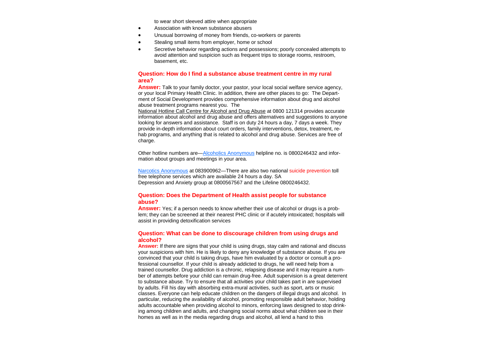to wear short sleeved attire when appropriate

- $\bullet$ Association with known substance abusers
- $\bullet$ Unusual borrowing of money from friends, co-workers or parents
- $\bullet$ Stealing small items from employer, home or school
- $\bullet$  Secretive behavior regarding actions and possessions; poorly concealed attempts to avoid attention and suspicion such as frequent trips to storage rooms, restroom, basement, etc.

# **Question: How do I find a substance abuse treatment centre in my rural area?**

**Answer:** Talk to your family doctor, your pastor, your local social welfare service agency, or your local Primary Health Clinic. In addition, there are other places to go: The Department of Social Development provides comprehensive information about drug and alcohol abuse treatment programs nearest you. The

National Hotline Call Centre for Alcohol and Drug Abuse at 0800 121314 provides accurate information about alcohol and drug abuse and offers alternatives and suggestions to anyone looking for answers and assistance. Staff is on duty 24 hours a day, 7 days a week. They provide in-depth information about court orders, family interventions, detox, treatment, rehab programs, and anything that is related to alcohol and drug abuse. Services are free of charge.

Other hotline numbers are—Alcoholics Anonymous helpline no. is 0800246432 and information about groups and meetings in your area.

Narcotics Anonymous at 083900962—There are also two national suicide prevention toll free telephone services which are available 24 hours a day. SA Depression and Anxiety group at 0800567567 and the Lifeline 0800246432.

#### **Question: Does the Department of Health assist people for substance abuse?**

**Answer:** Yes; if a person needs to know whether their use of alcohol or drugs is a problem; they can be screened at their nearest PHC clinic or if acutely intoxicated; hospitals will assist in providing detoxification services

## **Question: What can be done to discourage children from using drugs and alcohol?**

**Answer:** If there are signs that your child is using drugs, stay calm and rational and discuss your suspicions with him. He is likely to deny any knowledge of substance abuse. If you are convinced that your child is taking drugs, have him evaluated by a doctor or consult a professional counsellor. If your child is already addicted to drugs, he will need help from a trained counsellor. Drug addiction is a chronic, relapsing disease and it may require a number of attempts before your child can remain drug-free. Adult supervision is a great deterrent to substance abuse. Try to ensure that all activities your child takes part in are supervised by adults. Fill his day with absorbing extra-mural activities, such as sport, arts or music classes. Everyone can help educate children on the dangers of illegal drugs and alcohol. In particular, reducing the availability of alcohol, promoting responsible adult behavior, holding adults accountable when providing alcohol to minors, enforcing laws designed to stop drinking among children and adults, and changing social norms about what children see in their homes as well as in the media regarding drugs and alcohol, all lend a hand to this